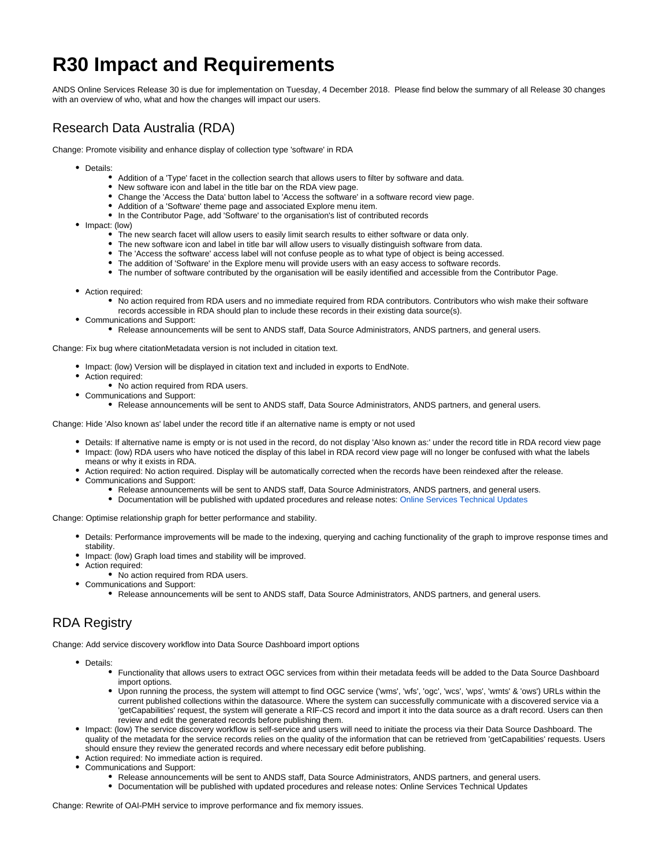# **R30 Impact and Requirements**

ANDS Online Services Release 30 is due for implementation on Tuesday, 4 December 2018. Please find below the summary of all Release 30 changes with an overview of who, what and how the changes will impact our users.

## Research Data Australia (RDA)

Change: Promote visibility and enhance display of collection type 'software' in RDA

- Details:
	- Addition of a 'Type' facet in the collection search that allows users to filter by software and data.
	- New software icon and label in the title bar on the RDA view page.
	- Change the 'Access the Data' button label to 'Access the software' in a software record view page.
	- Addition of a 'Software' theme page and associated Explore menu item.
	- In the Contributor Page, add 'Software' to the organisation's list of contributed records
- Impact: (low)
	- The new search facet will allow users to easily limit search results to either software or data only.
	- The new software icon and label in title bar will allow users to visually distinguish software from data.
	- The 'Access the software' access label will not confuse people as to what type of object is being accessed.
	- The addition of 'Software' in the Explore menu will provide users with an easy access to software records.
	- The number of software contributed by the organisation will be easily identified and accessible from the Contributor Page.
- Action required:
	- No action required from RDA users and no immediate required from RDA contributors. Contributors who wish make their software records accessible in RDA should plan to include these records in their existing data source(s).
- Communications and Support:
	- Release announcements will be sent to ANDS staff, Data Source Administrators, ANDS partners, and general users[.](http://www.ands.org.au/online-services/technical-updates)

Change: Fix bug where citationMetadata version is not included in citation text.

- Impact: (low) Version will be displayed in citation text and included in exports to EndNote.
- Action required:
	- No action required from RDA users.
- Communications and Support:
	- Release announcements will be sent to ANDS staff, Data Source Administrators, ANDS partners, and general users[.](http://www.ands.org.au/online-services/technical-updates)

Change: Hide 'Also known as' label under the record title if an alternative name is empty or not used

- Details: If alternative name is empty or is not used in the record, do not display 'Also known as:' under the record title in RDA record view page
- Impact: (low) RDA users who have noticed the display of this label in RDA record view page will no longer be confused with what the labels means or why it exists in RDA.
	- Action required: No action required. Display will be automatically corrected when the records have been reindexed after the release.
- Communications and Support:
	- Release announcements will be sent to ANDS staff, Data Source Administrators, ANDS partners, and general users.
	- Documentation will be published with updated procedures and release notes: [Online Services Technical Updates](https://www.ands.org.au/news-and-events/technical-updates)

Change: Optimise relationship graph for better performance and stability.

- Details: Performance improvements will be made to the indexing, querying and caching functionality of the graph to improve response times and stability.
- Impact: (low) Graph load times and stability will be improved.
- Action required:
	- No action required from RDA users.
- Communications and Support:
	- Release announcements will be sent to ANDS staff, Data Source Administrators, ANDS partners, and general users[.](http://www.ands.org.au/online-services/technical-updates)

### RDA Registry

Change: Add service discovery workflow into Data Source Dashboard import options

- Details:
	- Functionality that allows users to extract OGC services from within their metadata feeds will be added to the Data Source Dashboard import options.
	- Upon running the process, the system will attempt to find OGC service ('wms', 'wfs', 'ogc', 'wcs', 'wps', 'wmts' & 'ows') URLs within the current published collections within the datasource. Where the system can successfully communicate with a discovered service via a 'getCapabilities' request, the system will generate a RIF-CS record and import it into the data source as a draft record. Users can then review and edit the generated records before publishing them.
- Impact: (low) The service discovery workflow is self-service and users will need to initiate the process via their Data Source Dashboard. The quality of the metadata for the service records relies on the quality of the information that can be retrieved from 'getCapabilities' requests. Users should ensure they review the generated records and where necessary edit before publishing.
	- Action required: No immediate action is required.
- Communications and Support:
	- Release announcements will be sent to ANDS staff, Data Source Administrators, ANDS partners, and general users.
	- Documentation will be published with updated procedures and release notes: [Online Services Technical Updates](https://www.ands.org.au/news-and-events/technical-updates)

Change: Rewrite of OAI-PMH service to improve performance and fix memory issues.